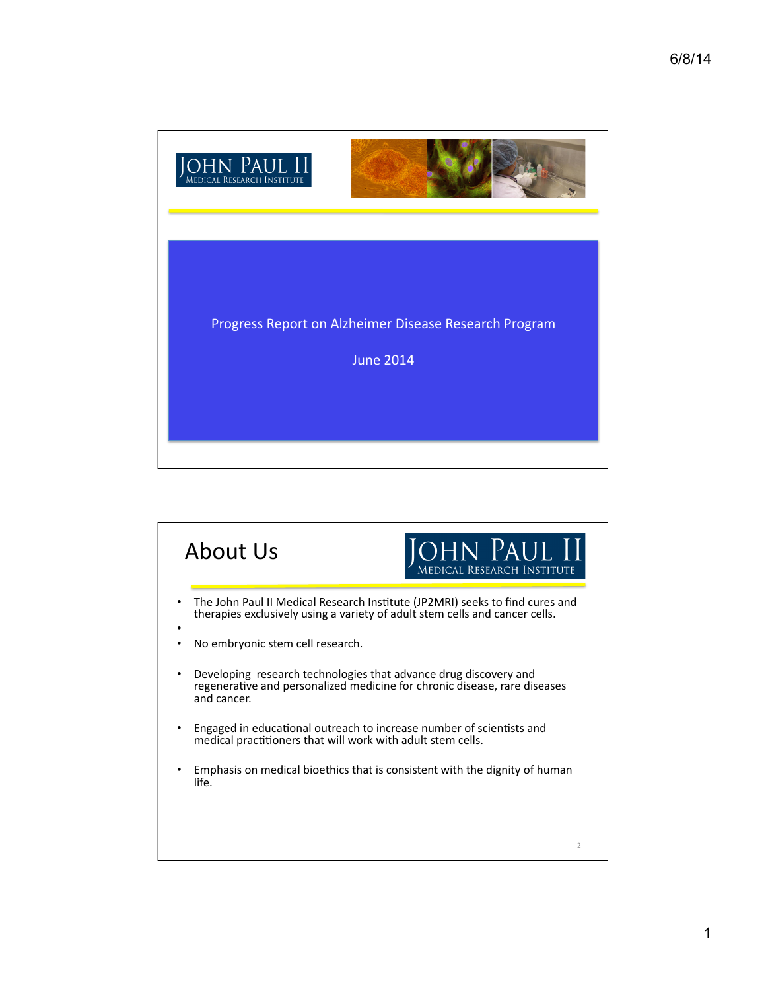

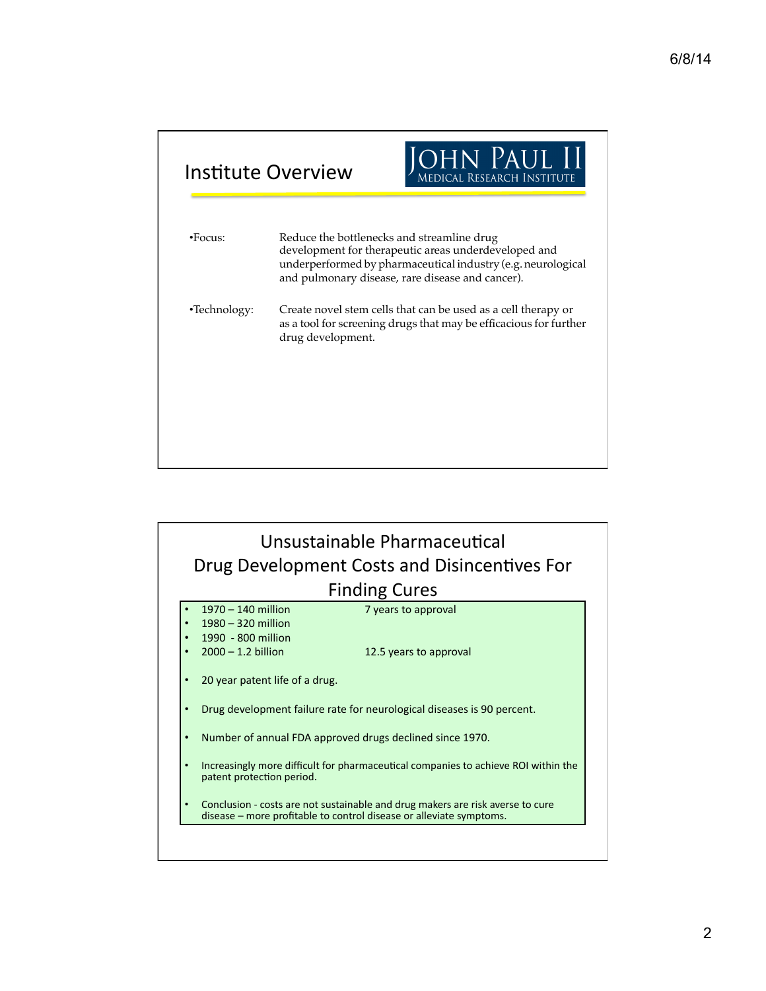|                | Institute Overview                                                                                                                                                                                                     | JOHN PAUL II<br>Medical Research Institute                                                                                         |
|----------------|------------------------------------------------------------------------------------------------------------------------------------------------------------------------------------------------------------------------|------------------------------------------------------------------------------------------------------------------------------------|
| $\cdot$ Focus: | Reduce the bottlenecks and streamline drug<br>development for therapeutic areas underdeveloped and<br>underperformed by pharmaceutical industry (e.g. neurological<br>and pulmonary disease, rare disease and cancer). |                                                                                                                                    |
| •Technology:   | drug development.                                                                                                                                                                                                      | Create novel stem cells that can be used as a cell therapy or<br>as a tool for screening drugs that may be efficacious for further |
|                |                                                                                                                                                                                                                        |                                                                                                                                    |
|                |                                                                                                                                                                                                                        |                                                                                                                                    |

|                      |                                                                        | Drug Development Costs and Disincentives For                                                                                                          |  |  |
|----------------------|------------------------------------------------------------------------|-------------------------------------------------------------------------------------------------------------------------------------------------------|--|--|
| <b>Finding Cures</b> |                                                                        |                                                                                                                                                       |  |  |
|                      | 1970 - 140 million                                                     | 7 years to approval                                                                                                                                   |  |  |
|                      | 1980 - 320 million                                                     |                                                                                                                                                       |  |  |
|                      | 1990 - 800 million                                                     |                                                                                                                                                       |  |  |
|                      | $2000 - 1.2$ billion                                                   | 12.5 years to approval                                                                                                                                |  |  |
|                      | 20 year patent life of a drug.                                         |                                                                                                                                                       |  |  |
|                      | Drug development failure rate for neurological diseases is 90 percent. |                                                                                                                                                       |  |  |
|                      |                                                                        | Number of annual FDA approved drugs declined since 1970.                                                                                              |  |  |
| $\bullet$            | patent protection period.                                              | Increasingly more difficult for pharmaceutical companies to achieve ROI within the                                                                    |  |  |
|                      |                                                                        | Conclusion - costs are not sustainable and drug makers are risk averse to cure<br>disease – more profitable to control disease or alleviate symptoms. |  |  |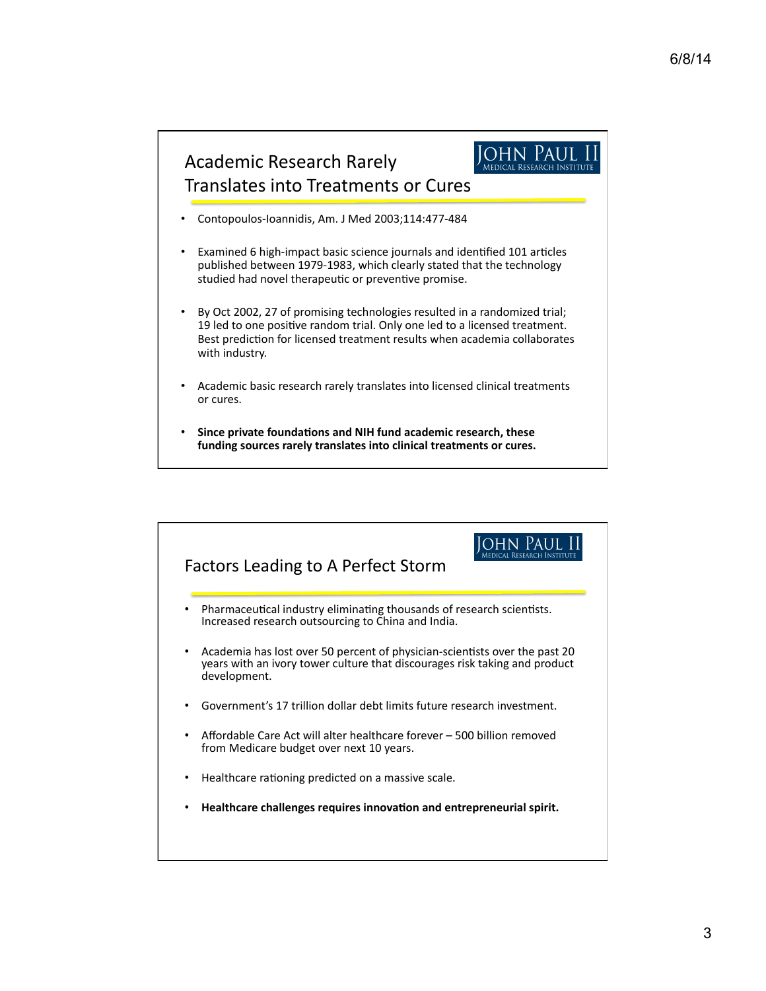

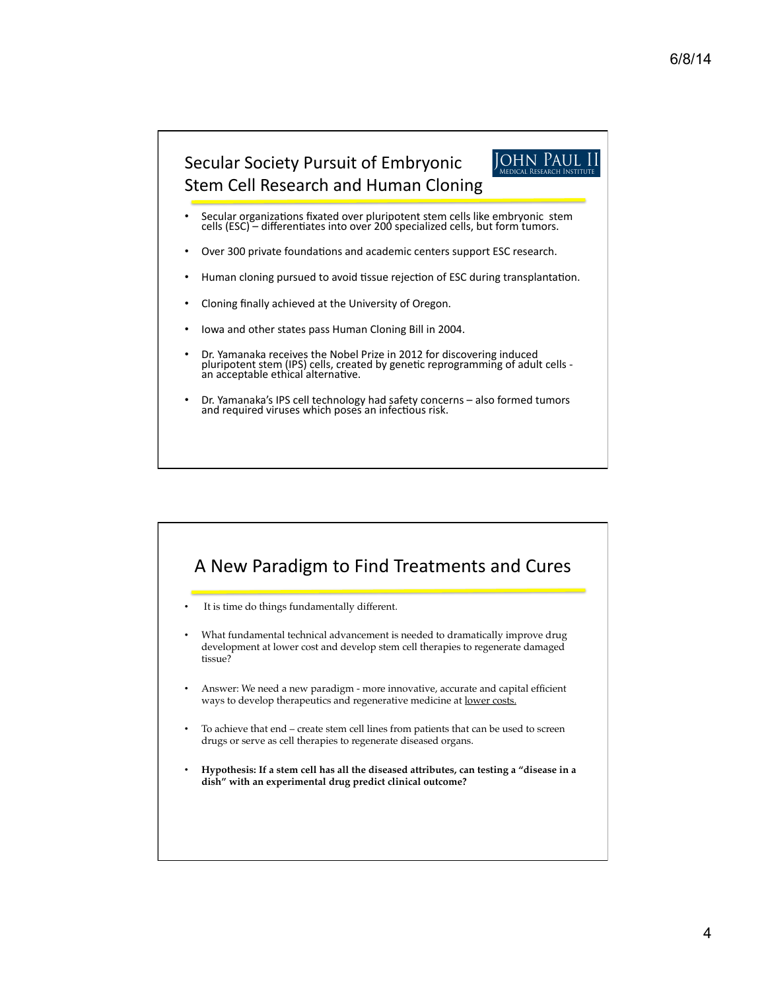

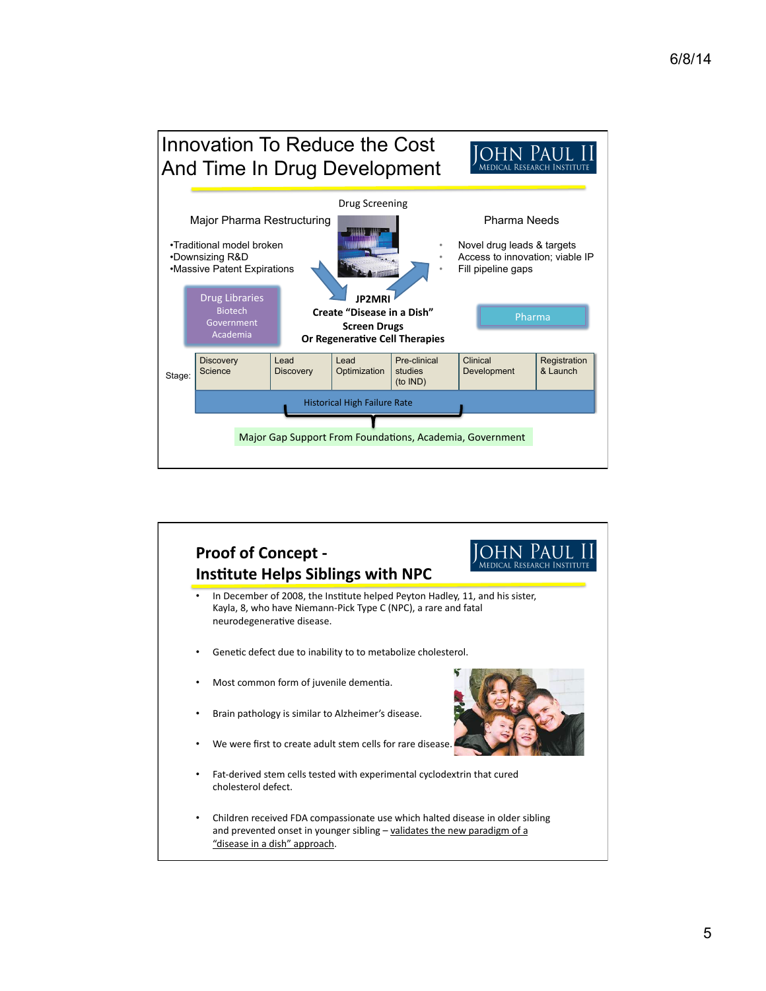

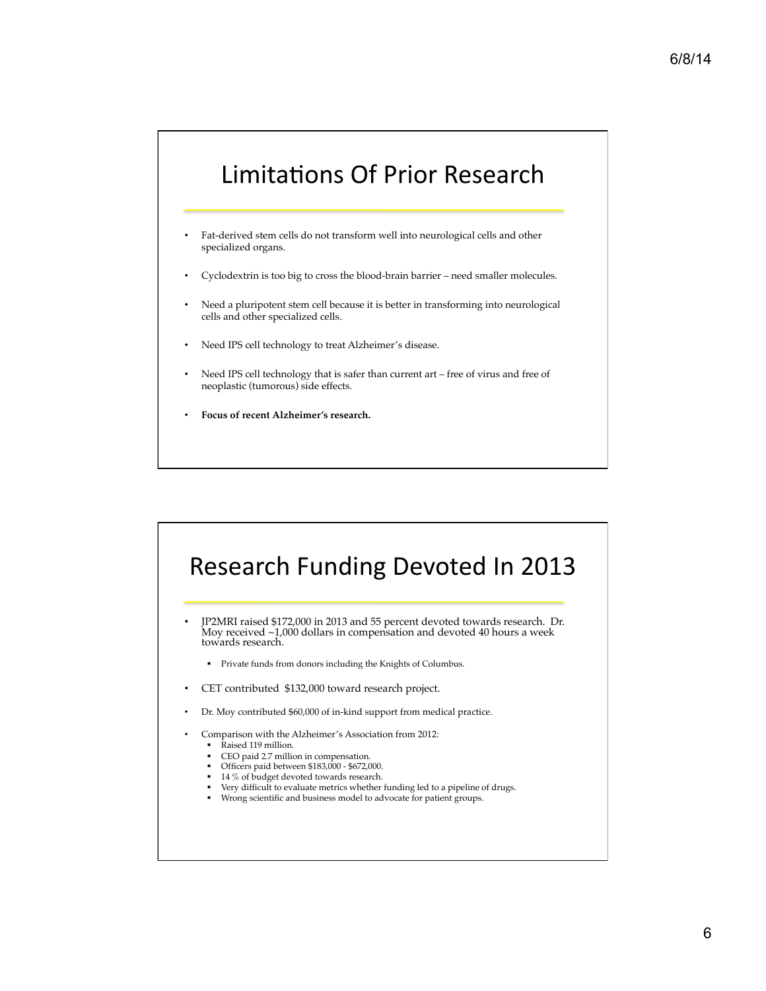## Limitations Of Prior Research

- Fat-derived stem cells do not transform well into neurological cells and other specialized organs.
- Cyclodextrin is too big to cross the blood-brain barrier need smaller molecules.
- Need a pluripotent stem cell because it is better in transforming into neurological cells and other specialized cells.
- Need IPS cell technology to treat Alzheimer's disease.
- Need IPS cell technology that is safer than current art free of virus and free of neoplastic (tumorous) side effects.
- **Focus of recent Alzheimer's research.**

## Research Funding Devoted In 2013

• JP2MRI raised \$172,000 in 2013 and 55 percent devoted towards research. Dr. Moy received ~1,000 dollars in compensation and devoted 40 hours a week towards research.

- ! Private funds from donors including the Knights of Columbus.
- CET contributed \$132,000 toward research project.
- Dr. Moy contributed \$60,000 of in-kind support from medical practice.
- Comparison with the Alzheimer's Association from 2012:
	- Raised 119 million.
	- ! CEO paid 2.7 million in compensation.
	- ! Officers paid between \$183,000 \$672,000.
	- 14 % of budget devoted towards research.
	- Very difficult to evaluate metrics whether funding led to a pipeline of drugs.
	- ! Wrong scientific and business model to advocate for patient groups.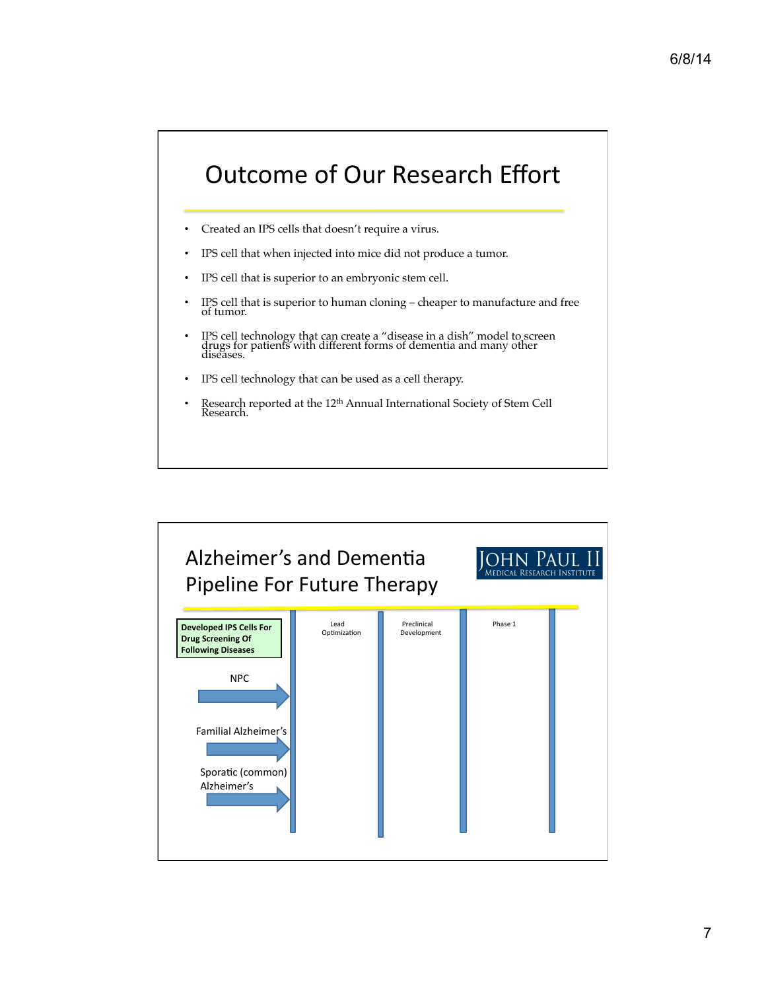## **Outcome of Our Research Effort**

- Created an IPS cells that doesn't require a virus.
- IPS cell that when injected into mice did not produce a tumor.
- IPS cell that is superior to an embryonic stem cell.
- IPS cell that is superior to human cloning cheaper to manufacture and free of tumor.
- IPS cell technology that can create a "disease in a dish" model to screen drugs for patients with different forms of dementia and many other diseases.
- IPS cell technology that can be used as a cell therapy.
- Research reported at the  $12^{\text{th}}$  Annual International Society of Stem Cell Research.

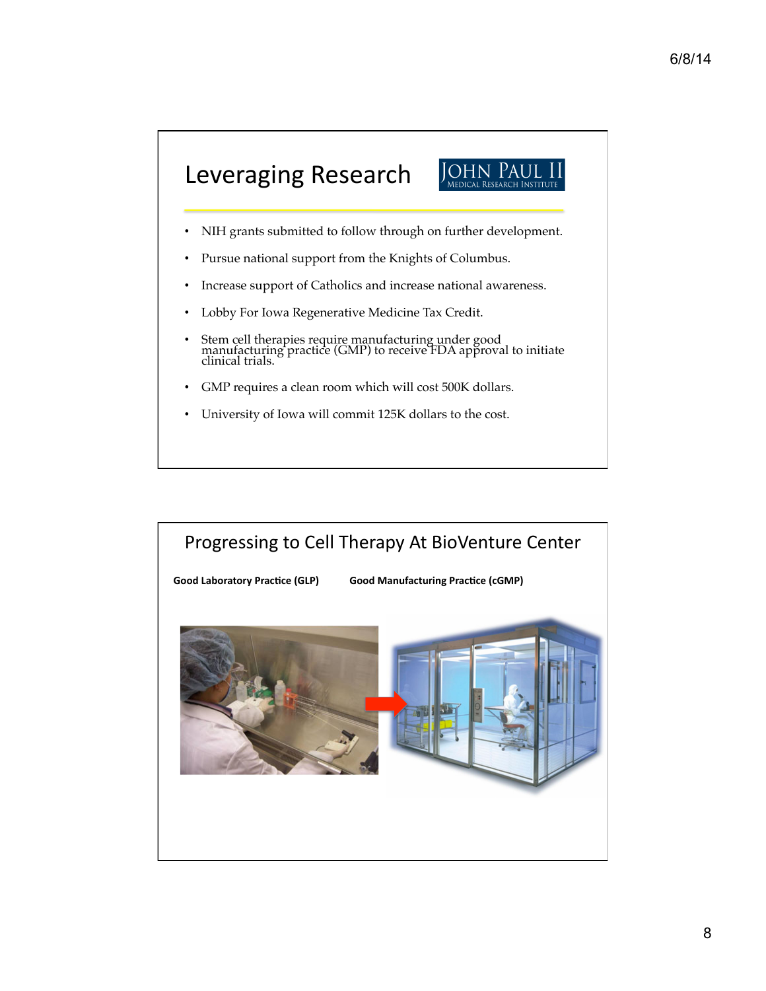

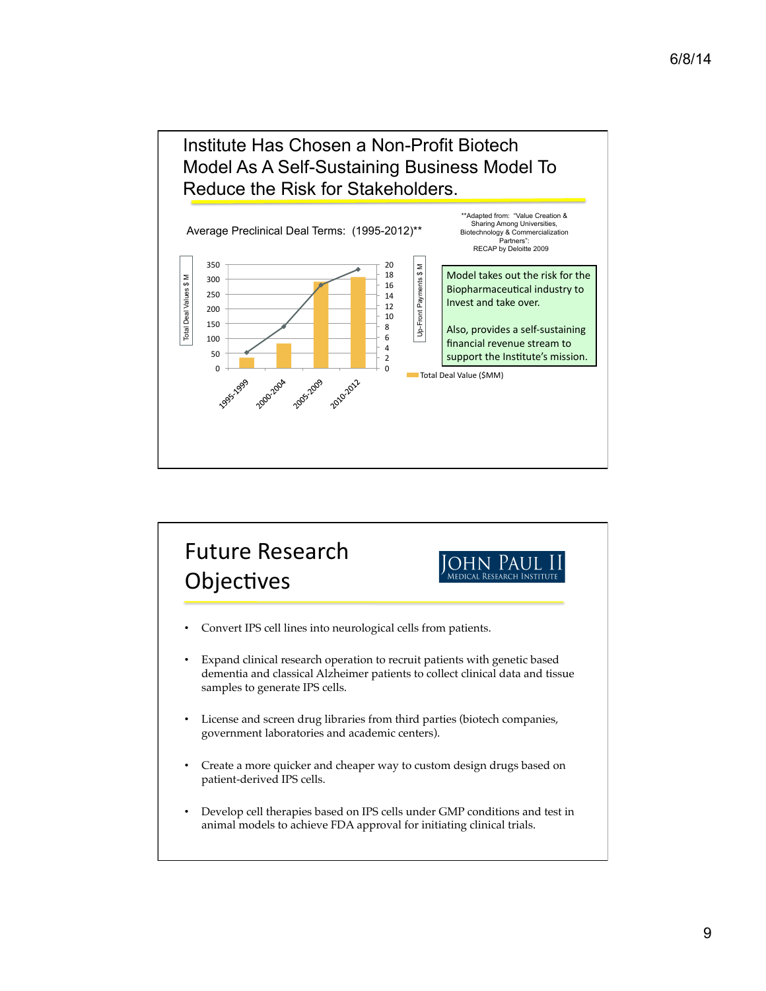